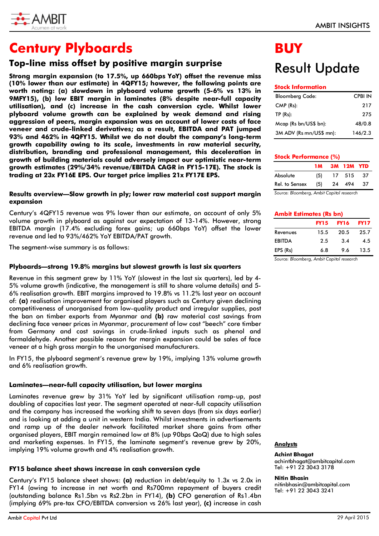

## **Century Plyboards**

## **Top-line miss offset by positive margin surprise**

**Strong margin expansion (to 17.5%, up 660bps YoY) offset the revenue miss (10% lower than our estimate) in 4QFY15; however, the following points are worth noting: (a) slowdown in plyboard volume growth (5-6% vs 13% in 9MFY15), (b) low EBIT margin in laminates (8% despite near-full capacity utilisation), and (c) increase in the cash conversion cycle. Whilst lower plyboard volume growth can be explained by weak demand and rising aggression of peers, margin expansion was on account of lower costs of face veneer and crude-linked derivatives; as a result, EBITDA and PAT jumped 93% and 462% in 4QFY15. Whilst we do not doubt the company's long-term growth capability owing to its scale, investments in raw material security, distribution, branding and professional management, this deceleration in growth of building materials could adversely impact our optimistic near-term growth estimates (29%/34% revenue/EBITDA CAGR in FY15-17E). The stock is trading at 23x FY16E EPS. Our target price implies 21x FY17E EPS.** 

## **Results overview—Slow growth in ply; lower raw material cost support margin expansion**

Century's 4QFY15 revenue was 9% lower than our estimate, on account of only 5% volume growth in plyboard as against our expectation of 13-14%. However, strong EBITDA margin (17.4% excluding forex gains; up 660bps YoY) offset the lower revenue and led to 93%/462% YoY EBITDA/PAT growth.

The segment-wise summary is as follows:

## **Plyboards—strong 19.8% margins but slowest growth is last six quarters**

Revenue in this segment grew by 11% YoY (slowest in the last six quarters), led by 4- 5% volume growth (indicative, the management is still to share volume details) and 5- 6% realisation growth. EBIT margins improved to 19.8% vs 11.2% last year on account of: **(a)** realisation improvement for organised players such as Century given declining competitiveness of unorganised from low-quality product and irregular supplies, post the ban on timber exports from Myanmar and **(b)** raw material cost savings from declining face veneer prices in Myanmar, procurement of low cost "beech" core timber from Germany and cost savings in crude-linked inputs such as phenol and formaldehyde. Another possible reason for margin expansion could be sales of face veneer at a high gross margin to the unorganised manufacturers.

In FY15, the plyboard segment's revenue grew by 19%, implying 13% volume growth and 6% realisation growth.

## **Laminates—near-full capacity utilisation, but lower margins**

Laminates revenue grew by 31% YoY led by significant utilisation ramp-up, post doubling of capacities last year. The segment operated at near-full capacity utilisation and the company has increased the working shift to seven days (from six days earlier) and is looking at adding a unit in western India. Whilst investments in advertisements and ramp up of the dealer network facilitated market share gains from other organised players, EBIT margin remained low at 8% (up 90bps QoQ) due to high sales and marketing expenses. In FY15, the laminate segment's revenue grew by 20%, implying 19% volume growth and 4% realisation growth.

## **FY15 balance sheet shows increase in cash conversion cycle**

Century's FY15 balance sheet shows: **(a)** reduction in debt/equity to 1.3x vs 2.0x in FY14 (owing to increase in net worth and Rs700mn repayment of buyers credit (outstanding balance Rs1.5bn vs Rs2.2bn in FY14), **(b)** CFO generation of Rs1.4bn (implying 69% pre-tax CFO/EBITDA conversion vs 26% last year), **(c)** increase in cash

# Result Update

## **Stock Information**

| <b>Bloomberg Code:</b>  | <b>CPBI IN</b> |
|-------------------------|----------------|
| $CMP$ ( $Rs$ ):         | 217            |
| TP(Rs):                 | 275            |
| Mcap (Rs bn/US\$ bn):   | 48/0.8         |
| 3M ADV (Rs mn/US\$ mn): | 146/2.3        |

## **Stock Performance 1M 3M 12M YTD** Absolute (5) 17 515 37 Rel. to Sensex (5) 24 494 37

*Source: Bloomberg, Ambit Capital research*

#### **Ambit Estimates (Rs bn)**

|               | <b>FY15</b> | <b>FY16</b> | <b>FY17</b> |
|---------------|-------------|-------------|-------------|
| Revenues      | 15.5        | 20.5        | 25.7        |
| <b>EBITDA</b> | 2.5         | 3.4         | 4.5         |
| EPS (Rs)      | 6.8         | 9.6         | 13.5        |

*Source: Bloomberg, Ambit Capital research*

## **Analysts**

#### **Achint Bhagat**

achintbhagat@ambitcapital.com Tel: +91 22 3043 3178

#### **Nitin Bhasin**

nitinbhasin@ambitcapital.com Tel: +91 22 3043 3241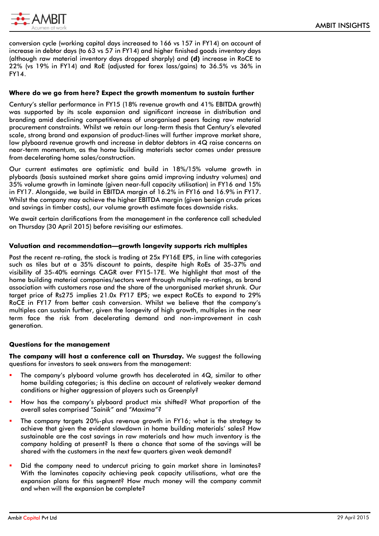

conversion cycle (working capital days increased to 166 vs 157 in FY14) on account of increase in debtor days (to 63 vs 57 in FY14) and higher finished goods inventory days (although raw material inventory days dropped sharply) and **(d)** increase in RoCE to 22% (vs 19% in FY14) and RoE (adjusted for forex lass/gains) to 36.5% vs 36% in FY14.

## **Where do we go from here? Expect the growth momentum to sustain further**

Century's stellar performance in FY15 (18% revenue growth and 41% EBITDA growth) was supported by its scale expansion and significant increase in distribution and branding amid declining competitiveness of unorganised peers facing raw material procurement constraints. Whilst we retain our long-term thesis that Century's elevated scale, strong brand and expansion of product-lines will further improve market share, low plyboard revenue growth and increase in debtor debtors in 4Q raise concerns on near-term momentum, as the home building materials sector comes under pressure from decelerating home sales/construction.

Our current estimates are optimistic and build in 18%/15% volume growth in plyboards (basis sustained market share gains amid improving industry volumes) and 35% volume growth in laminate (given near-full capacity utilisation) in FY16 and 15% in FY17. Alongside, we build in EBITDA margin of 16.2% in FY16 and 16.9% in FY17. Whilst the company may achieve the higher EBITDA margin (given benign crude prices and savings in timber costs), our volume growth estimate faces downside risks.

We await certain clarifications from the management in the conference call scheduled on Thursday (30 April 2015) before revisiting our estimates.

## **Valuation and recommendation—growth longevity supports rich multiples**

Post the recent re-rating, the stock is trading at 25x FY16E EPS, in line with categories such as tiles but at a 35% discount to paints, despite high RoEs of 35-37% and visibility of 35-40% earnings CAGR over FY15-17E. We highlight that most of the home building material companies/sectors went through multiple re-ratings, as brand association with customers rose and the share of the unorganised market shrunk. Our target price of Rs275 implies 21.0x FY17 EPS; we expect RoCEs to expand to 29% RoCE in FY17 from better cash conversion. Whilst we believe that the company's multiples can sustain further, given the longevity of high growth, multiples in the near term face the risk from decelerating demand and non-improvement in cash generation.

#### **Questions for the management**

**The company will host a conference call on Thursday.** We suggest the following questions for investors to seek answers from the management:

- The company's plyboard volume growth has decelerated in 4Q, similar to other home building categories; is this decline on account of relatively weaker demand conditions or higher aggression of players such as Greenply?
- How has the company's plyboard product mix shifted? What proportion of the overall sales comprised "*Sainik"* and *"Maxima"?*
- The company targets 20%-plus revenue growth in FY16; what is the strategy to achieve that given the evident slowdown in home building materials' sales? How sustainable are the cost savings in raw materials and how much inventory is the company holding at present? Is there a chance that some of the savings will be shared with the customers in the next few quarters given weak demand?
- Did the company need to undercut pricing to gain market share in laminates? With the laminates capacity achieving peak capacity utilisations, what are the expansion plans for this segment? How much money will the company commit and when will the expansion be complete?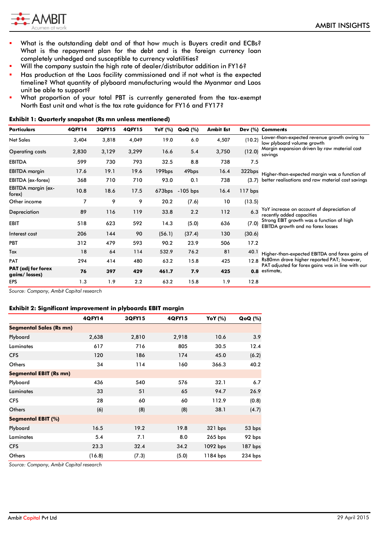

- What is the outstanding debt and of that how much is Buyers credit and ECBs? What is the repayment plan for the debt and is the foreign currency loan completely unhedged and susceptible to currency volatilities?
- Will the company sustain the high rate of dealer/distributor addition in FY16?
- Has production at the Laos facility commissioned and if not what is the expected timeline? What quantity of plyboard manufacturing would the Myanmar and Laos unit be able to support?
- What proportion of your total PBT is currently generated from the tax-exempt North East unit and what is the tax rate guidance for FY16 and FY17?

| Particulars                                | 4QFY14 | 3QFY15 | 4QFY15 | <b>YoY</b> (%) | QoQ(%)          | <b>Ambit Est</b> |           | Dev (%) Comments                                                                      |
|--------------------------------------------|--------|--------|--------|----------------|-----------------|------------------|-----------|---------------------------------------------------------------------------------------|
| <b>Net Sales</b>                           | 3,404  | 3,818  | 4,049  | 19.0           | 6.0             | 4,507            | (10.2)    | Lower-than-expected revenue growth owing to<br>low plyboard volume growth             |
| Operating costs                            | 2,830  | 3,129  | 3,299  | 16.6           | 5.4             | 3,750            | (12.0)    | Margin expansion driven by raw material cost<br>savings                               |
| <b>EBITDA</b>                              | 599    | 730    | 793    | 32.5           | 8.8             | 738              | 7.5       |                                                                                       |
| <b>EBITDA</b> margin                       | 17.6   | 19.1   | 19.6   | 199bps         | 49bps           | 16.4             | 322bps    | Higher-than-expected margin was a function of                                         |
| EBITDA (ex-forex)                          | 368    | 710    | 710    | 93.0           | 0.1             | 738              | (3.7)     | better realisations and raw material cost savings                                     |
| EBITDA margin (ex-<br>forex)               | 10.8   | 18.6   | 17.5   |                | 673bps -105 bps | 16.4             | $117$ bps |                                                                                       |
| Other income                               | 7      | 9      | 9      | 20.2           | (7.6)           | 10               | (13.5)    |                                                                                       |
| Depreciation                               | 89     | 116    | 119    | 33.8           | 2.2             | 112              | 6.3       | YoY increase on account of depreciation of<br>recently added capacities               |
| <b>EBIT</b>                                | 518    | 623    | 592    | 14.3           | (5.0)           | 636              | (7.0)     | Strong EBIT growth was a function of high<br><b>EBITDA</b> growth and no forex losses |
| Interest cost                              | 206    | 144    | 90     | (56.1)         | (37.4)          | 130              | (30.6)    |                                                                                       |
| PBT                                        | 312    | 479    | 593    | 90.2           | 23.9            | 506              | 17.2      |                                                                                       |
| Tax                                        | 18     | 64     | 114    | 532.9          | 76.2            | 81               | 40.1      | Higher-than-expected EBITDA and forex gains of                                        |
| <b>PAT</b>                                 | 294    | 414    | 480    | 63.2           | 15.8            | 425              | 12.8      | Rs80mn drove higher reported PAT; however,                                            |
| <b>PAT</b> (adj for forex<br>gains/losses) | 76     | 397    | 429    | 461.7          | 7.9             | 425              | 0.8       | PAT adjusted for forex gains was in line with our<br>estimate,                        |
| EPS                                        | 1.3    | 1.9    | 2.2    | 63.2           | 15.8            | 1.9              | 12.8      |                                                                                       |

#### **Exhibit 1: Quarterly snapshot (Rs mn unless mentioned)**

*Source: Company, Ambit Capital research*

## **Exhibit 2: Significant improvement in plyboards EBIT margin**

|                                | 4QFY14 | 3QFY15 | 4QFY15 | YoY (%)   | <b>QoQ</b> (%) |
|--------------------------------|--------|--------|--------|-----------|----------------|
| <b>Segmental Sales (Rs mn)</b> |        |        |        |           |                |
| Plyboard                       | 2,638  | 2,810  | 2,918  | 10.6      | 3.9            |
| Laminates                      | 617    | 716    | 805    | 30.5      | 12.4           |
| <b>CFS</b>                     | 120    | 186    | 174    | 45.0      | (6.2)          |
| Others                         | 34     | 114    | 160    | 366.3     | 40.2           |
| <b>Segmental EBIT (Rs mn)</b>  |        |        |        |           |                |
| Plyboard                       | 436    | 540    | 576    | 32.1      | 6.7            |
| Laminates                      | 33     | 51     | 65     | 94.7      | 26.9           |
| <b>CFS</b>                     | 28     | 60     | 60     | 112.9     | (0.8)          |
| <b>Others</b>                  | (6)    | (8)    | (8)    | 38.1      | (4.7)          |
| Segmental EBIT (%)             |        |        |        |           |                |
| Plyboard                       | 16.5   | 19.2   | 19.8   | 321 bps   | 53 bps         |
| Laminates                      | 5.4    | 7.1    | 8.0    | $265$ bps | 92 bps         |
| <b>CFS</b>                     | 23.3   | 32.4   | 34.2   | 1092 bps  | $187$ bps      |
| Others                         | (16.8) | (7.3)  | (5.0)  | 1184 bps  | 234 bps        |

*Source: Company, Ambit Capital research*